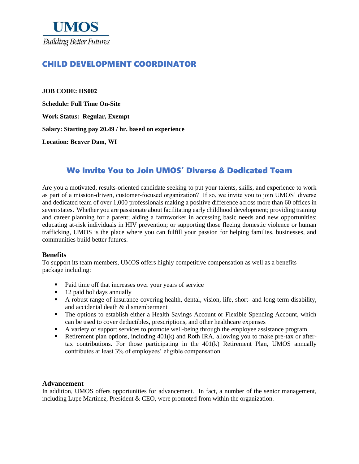

# CHILD DEVELOPMENT COORDINATOR

**JOB CODE: HS002 Schedule: Full Time On-Site Work Status: Regular, Exempt Salary: Starting pay 20.49 / hr. based on experience Location: Beaver Dam, WI**

# We Invite You to Join UMOS' Diverse & Dedicated Team

Are you a motivated, results-oriented candidate seeking to put your talents, skills, and experience to work as part of a mission-driven, customer-focused organization? If so, we invite you to join UMOS' diverse and dedicated team of over 1,000 professionals making a positive difference across more than 60 offices in seven states. Whether you are passionate about facilitating early childhood development; providing training and career planning for a parent; aiding a farmworker in accessing basic needs and new opportunities; educating at-risk individuals in HIV prevention; or supporting those fleeing domestic violence or human trafficking, UMOS is the place where you can fulfill your passion for helping families, businesses, and communities build better futures.

#### **Benefits**

To support its team members, UMOS offers highly competitive compensation as well as a benefits package including:

- Paid time off that increases over your years of service
- 12 paid holidays annually
- A robust range of insurance covering health, dental, vision, life, short- and long-term disability, and accidental death & dismemberment
- **•** The options to establish either a Health Savings Account or Flexible Spending Account, which can be used to cover deductibles, prescriptions, and other healthcare expenses
- A variety of support services to promote well-being through the employee assistance program
- **•** Retirement plan options, including 401(k) and Roth IRA, allowing you to make pre-tax or aftertax contributions. For those participating in the 401(k) Retirement Plan, UMOS annually contributes at least 3% of employees' eligible compensation

#### **Advancement**

In addition, UMOS offers opportunities for advancement. In fact, a number of the senior management, including Lupe Martinez, President  $&$  CEO, were promoted from within the organization.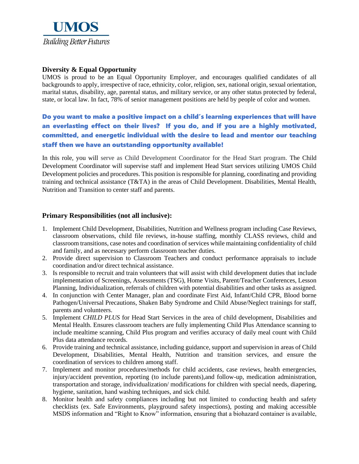

## **Diversity & Equal Opportunity**

UMOS is proud to be an Equal Opportunity Employer, and encourages qualified candidates of all backgrounds to apply, irrespective of race, ethnicity, color, religion, sex, national origin, sexual orientation, marital status, disability, age, parental status, and military service, or any other status protected by federal, state, or local law. In fact, 78% of senior management positions are held by people of color and women.

## Do you want to make a positive impact on a child's learning experiences that will have an everlasting effect on their lives? If you do, and if you are a highly motivated, committed, and energetic individual with the desire to lead and mentor our teaching staff then we have an outstanding opportunity available!

In this role, you will serve as Child Development Coordinator for the Head Start program. The Child Development Coordinator will supervise staff and implement Head Start services utilizing UMOS Child Development policies and procedures. This position is responsible for planning, coordinating and providing training and technical assistance (T&TA) in the areas of Child Development. Disabilities, Mental Health, Nutrition and Transition to center staff and parents.

#### **Primary Responsibilities (not all inclusive):**

- 1. Implement Child Development, Disabilities, Nutrition and Wellness program including Case Reviews, classroom observations, child file reviews, in-house staffing, monthly CLASS reviews, child and classroom transitions, case notes and coordination of services while maintaining confidentiality of child and family, and as necessary perform classroom teacher duties.
- 2. Provide direct supervision to Classroom Teachers and conduct performance appraisals to include coordination and/or direct technical assistance.
- 3. Is responsible to recruit and train volunteers that will assist with child development duties that include implementation of Screenings, Assessments (TSG), Home Visits, Parent/Teacher Conferences, Lesson Planning, Individualization, referrals of children with potential disabilities and other tasks as assigned.
- 4. In conjunction with Center Manager, plan and coordinate First Aid, Infant/Child CPR, Blood borne Pathogen/Universal Precautions, Shaken Baby Syndrome and Child Abuse/Neglect trainings for staff, parents and volunteers.
- 5. Implement *CHILD PLUS* for Head Start Services in the area of child development, Disabilities and Mental Health. Ensures classroom teachers are fully implementing Child Plus Attendance scanning to include mealtime scanning, Child Plus program and verifies accuracy of daily meal count with Child Plus data attendance records.
- 6. Provide training and technical assistance, including guidance, support and supervision in areas of Child Development, Disabilities, Mental Health, Nutrition and transition services, and ensure the coordination of services to children among staff.
- 7. Implement and monitor procedures/methods for child accidents, case reviews, health emergencies, injury/accident prevention, reporting (to include parents),and follow-up, medication administration, transportation and storage, individualization/ modifications for children with special needs, diapering, hygiene, sanitation, hand washing techniques, and sick child.
- 8. Monitor health and safety compliances including but not limited to conducting health and safety checklists (ex. Safe Environments, playground safety inspections), posting and making accessible MSDS information and "Right to Know" information, ensuring that a biohazard container is available,